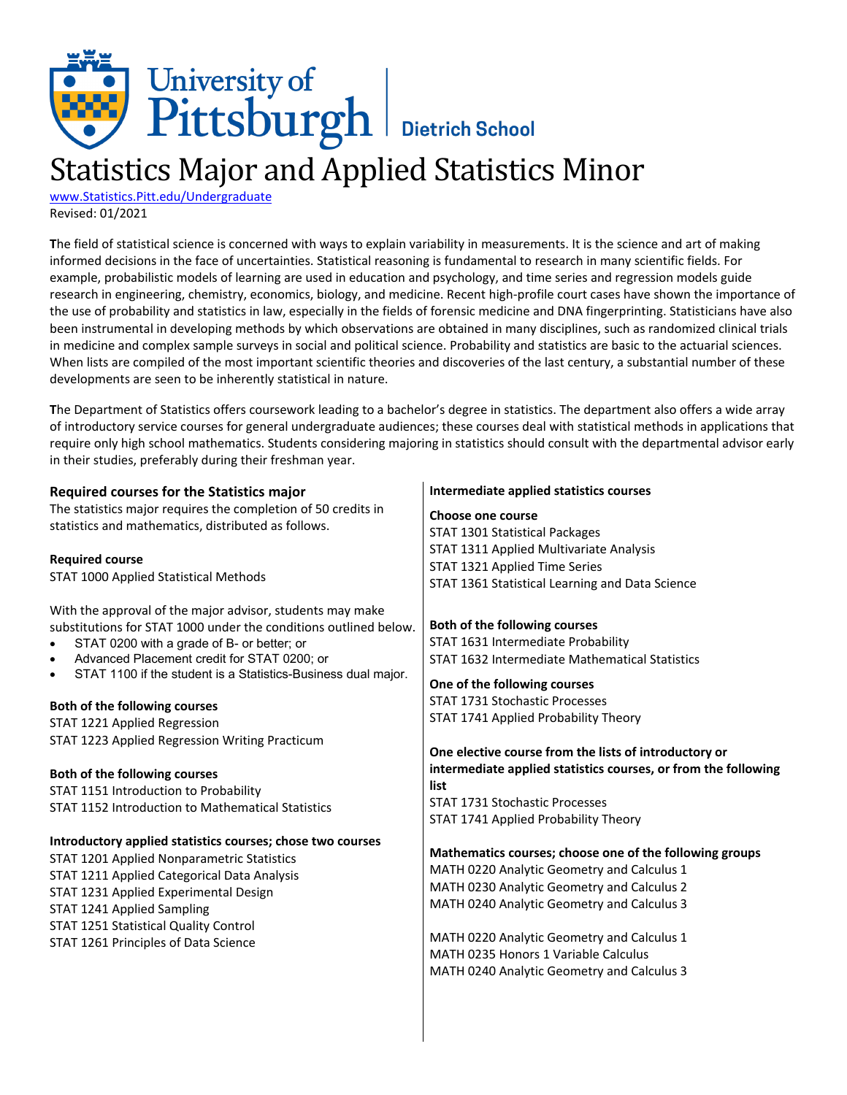## University of<br>Pittsburgh Bietrich School Statistics Major and Applied Statistics Minor

[www.Statistics.Pitt.edu/Undergraduate](http://www.statistics.pitt.edu/undergraduate) Revised: 01/2021

**T**he field of statistical science is concerned with ways to explain variability in measurements. It is the science and art of making informed decisions in the face of uncertainties. Statistical reasoning is fundamental to research in many scientific fields. For example, probabilistic models of learning are used in education and psychology, and time series and regression models guide research in engineering, chemistry, economics, biology, and medicine. Recent high-profile court cases have shown the importance of the use of probability and statistics in law, especially in the fields of forensic medicine and DNA fingerprinting. Statisticians have also been instrumental in developing methods by which observations are obtained in many disciplines, such as randomized clinical trials in medicine and complex sample surveys in social and political science. Probability and statistics are basic to the actuarial sciences. When lists are compiled of the most important scientific theories and discoveries of the last century, a substantial number of these developments are seen to be inherently statistical in nature.

**T**he Department of Statistics offers coursework leading to a bachelor's degree in statistics. The department also offers a wide array of introductory service courses for general undergraduate audiences; these courses deal with statistical methods in applications that require only high school mathematics. Students considering majoring in statistics should consult with the departmental advisor early in their studies, preferably during their freshman year.

| <b>Required courses for the Statistics major</b>                                                                                                                                                                                                                                                                                                                                                                                                                                                                                                                                     | Intermediate applied statistics courses                                                                                                                                                                                                                                                                                                                                                                                                                    |
|--------------------------------------------------------------------------------------------------------------------------------------------------------------------------------------------------------------------------------------------------------------------------------------------------------------------------------------------------------------------------------------------------------------------------------------------------------------------------------------------------------------------------------------------------------------------------------------|------------------------------------------------------------------------------------------------------------------------------------------------------------------------------------------------------------------------------------------------------------------------------------------------------------------------------------------------------------------------------------------------------------------------------------------------------------|
| The statistics major requires the completion of 50 credits in<br>statistics and mathematics, distributed as follows.                                                                                                                                                                                                                                                                                                                                                                                                                                                                 | Choose one course<br>STAT 1301 Statistical Packages<br>STAT 1311 Applied Multivariate Analysis                                                                                                                                                                                                                                                                                                                                                             |
| <b>Required course</b><br>STAT 1000 Applied Statistical Methods                                                                                                                                                                                                                                                                                                                                                                                                                                                                                                                      | STAT 1321 Applied Time Series<br>STAT 1361 Statistical Learning and Data Science                                                                                                                                                                                                                                                                                                                                                                           |
| With the approval of the major advisor, students may make<br>substitutions for STAT 1000 under the conditions outlined below.<br>STAT 0200 with a grade of B- or better; or<br>$\bullet$<br>Advanced Placement credit for STAT 0200; or<br>$\bullet$<br>STAT 1100 if the student is a Statistics-Business dual major.<br>$\bullet$<br>Both of the following courses<br>STAT 1221 Applied Regression<br>STAT 1223 Applied Regression Writing Practicum<br>Both of the following courses<br>STAT 1151 Introduction to Probability<br>STAT 1152 Introduction to Mathematical Statistics | Both of the following courses<br>STAT 1631 Intermediate Probability<br>STAT 1632 Intermediate Mathematical Statistics<br>One of the following courses<br><b>STAT 1731 Stochastic Processes</b><br>STAT 1741 Applied Probability Theory<br>One elective course from the lists of introductory or<br>intermediate applied statistics courses, or from the following<br>list<br><b>STAT 1731 Stochastic Processes</b><br>STAT 1741 Applied Probability Theory |
| Introductory applied statistics courses; chose two courses<br>STAT 1201 Applied Nonparametric Statistics<br>STAT 1211 Applied Categorical Data Analysis<br>STAT 1231 Applied Experimental Design<br>STAT 1241 Applied Sampling<br>STAT 1251 Statistical Quality Control<br>STAT 1261 Principles of Data Science                                                                                                                                                                                                                                                                      | Mathematics courses; choose one of the following groups<br>MATH 0220 Analytic Geometry and Calculus 1<br>MATH 0230 Analytic Geometry and Calculus 2<br>MATH 0240 Analytic Geometry and Calculus 3<br>MATH 0220 Analytic Geometry and Calculus 1<br>MATH 0235 Honors 1 Variable Calculus<br>MATH 0240 Analytic Geometry and Calculus 3                                                                                                                      |